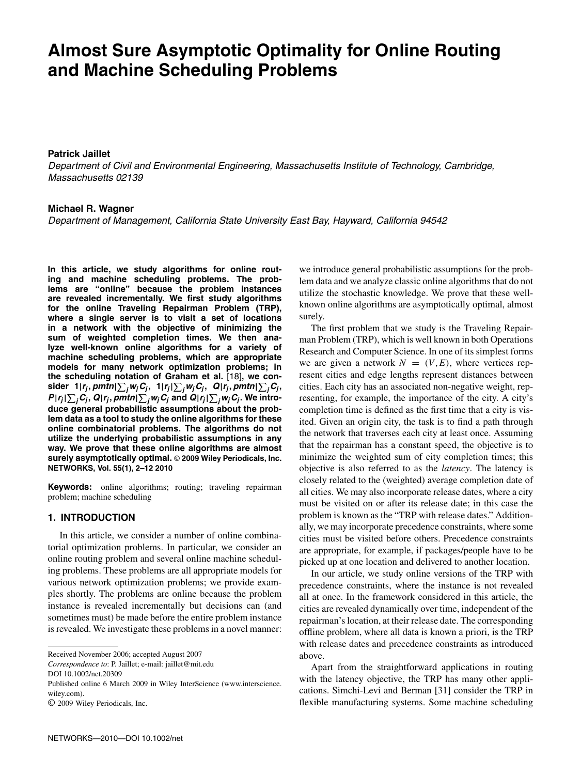# **Almost Sure Asymptotic Optimality for Online Routing and Machine Scheduling Problems**

# **Patrick Jaillet**

Department of Civil and Environmental Engineering, Massachusetts Institute of Technology, Cambridge, Massachusetts 02139

## **Michael R. Wagner**

Department of Management, California State University East Bay, Hayward, California 94542

**In this article, we study algorithms for online routing and machine scheduling problems. The problems are "online" because the problem instances are revealed incrementally. We first study algorithms for the online Traveling Repairman Problem (TRP), where a single server is to visit a set of locations in a network with the objective of minimizing the sum of weighted completion times. We then analyze well-known online algorithms for a variety of machine scheduling problems, which are appropriate models for many network optimization problems; in the scheduling notation of Graham et al.** [18]**, we con**sider 1|r $_j,$ pmtn| $\sum_j w_j C_j,$  1|r $_j$ | $\sum_j w_j C_j,$  Q|r $_j,$ pmtn| $\sum_j C_j,$  $P$ | $r_j$ | $\sum_j$ *C<sub>j</sub>* , *Q*| $r_j$ ,  $p$ mtn| $\sum_j w_j$ *C<sub>j</sub>* and *Q*| $r_j$ | $\sum_j w_j$ *C<sub>j</sub>* . We intro**duce general probabilistic assumptions about the problem data as a tool to study the online algorithms for these online combinatorial problems. The algorithms do not utilize the underlying probabilistic assumptions in any way. We prove that these online algorithms are almost surely asymptotically optimal. © 2009 Wiley Periodicals, Inc. NETWORKS, Vol. 55(1), 2–12 2010**

**Keywords:** online algorithms; routing; traveling repairman problem; machine scheduling

# **1. INTRODUCTION**

In this article, we consider a number of online combinatorial optimization problems. In particular, we consider an online routing problem and several online machine scheduling problems. These problems are all appropriate models for various network optimization problems; we provide examples shortly. The problems are online because the problem instance is revealed incrementally but decisions can (and sometimes must) be made before the entire problem instance is revealed. We investigate these problems in a novel manner:

*Correspondence to*: P. Jaillet; e-mail: jaillet@mit.edu

we introduce general probabilistic assumptions for the problem data and we analyze classic online algorithms that do not utilize the stochastic knowledge. We prove that these wellknown online algorithms are asymptotically optimal, almost surely.

The first problem that we study is the Traveling Repairman Problem (TRP), which is well known in both Operations Research and Computer Science. In one of its simplest forms we are given a network  $N = (V, E)$ , where vertices represent cities and edge lengths represent distances between cities. Each city has an associated non-negative weight, representing, for example, the importance of the city. A city's completion time is defined as the first time that a city is visited. Given an origin city, the task is to find a path through the network that traverses each city at least once. Assuming that the repairman has a constant speed, the objective is to minimize the weighted sum of city completion times; this objective is also referred to as the *latency*. The latency is closely related to the (weighted) average completion date of all cities. We may also incorporate release dates, where a city must be visited on or after its release date; in this case the problem is known as the "TRP with release dates." Additionally, we may incorporate precedence constraints, where some cities must be visited before others. Precedence constraints are appropriate, for example, if packages/people have to be picked up at one location and delivered to another location.

In our article, we study online versions of the TRP with precedence constraints, where the instance is not revealed all at once. In the framework considered in this article, the cities are revealed dynamically over time, independent of the repairman's location, at their release date. The corresponding offline problem, where all data is known a priori, is the TRP with release dates and precedence constraints as introduced above.

Apart from the straightforward applications in routing with the latency objective, the TRP has many other applications. Simchi-Levi and Berman [31] consider the TRP in flexible manufacturing systems. Some machine scheduling

Received November 2006; accepted August 2007

DOI 10.1002/net.20309

Published online 6 March 2009 in Wiley InterScience (www.interscience. wiley.com).

<sup>©</sup> 2009 Wiley Periodicals, Inc.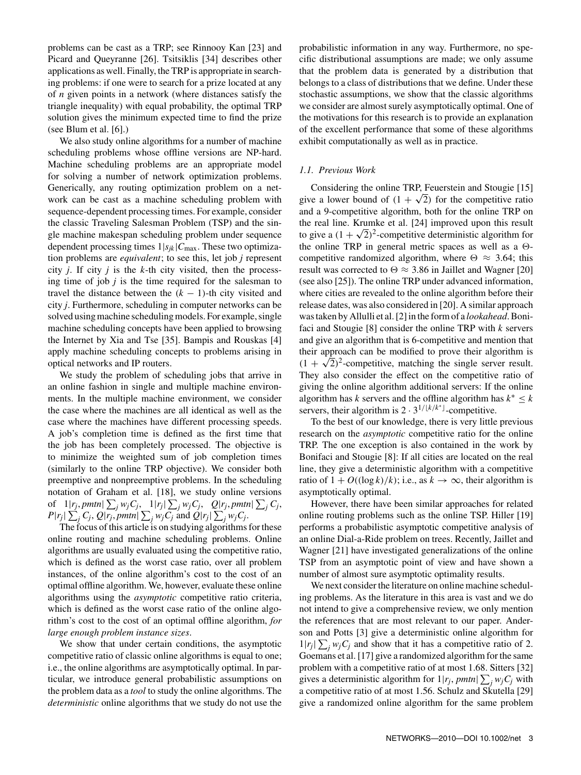problems can be cast as a TRP; see Rinnooy Kan [23] and Picard and Queyranne [26]. Tsitsiklis [34] describes other applications as well. Finally, the TRP is appropriate in searching problems: if one were to search for a prize located at any of *n* given points in a network (where distances satisfy the triangle inequality) with equal probability, the optimal TRP solution gives the minimum expected time to find the prize (see Blum et al. [6].)

We also study online algorithms for a number of machine scheduling problems whose offline versions are NP-hard. Machine scheduling problems are an appropriate model for solving a number of network optimization problems. Generically, any routing optimization problem on a network can be cast as a machine scheduling problem with sequence-dependent processing times. For example, consider the classic Traveling Salesman Problem (TSP) and the single machine makespan scheduling problem under sequence dependent processing times  $1|s_{jk}|C_{\text{max}}$ . These two optimization problems are *equivalent*; to see this, let job *j* represent city *j*. If city *j* is the *k*-th city visited, then the processing time of job *j* is the time required for the salesman to travel the distance between the  $(k - 1)$ -th city visited and city *j*. Furthermore, scheduling in computer networks can be solved using machine scheduling models. For example, single machine scheduling concepts have been applied to browsing the Internet by Xia and Tse [35]. Bampis and Rouskas [4] apply machine scheduling concepts to problems arising in optical networks and IP routers.

We study the problem of scheduling jobs that arrive in an online fashion in single and multiple machine environments. In the multiple machine environment, we consider the case where the machines are all identical as well as the case where the machines have different processing speeds. A job's completion time is defined as the first time that the job has been completely processed. The objective is to minimize the weighted sum of job completion times (similarly to the online TRP objective). We consider both preemptive and nonpreemptive problems. In the scheduling notation of Graham et al. [18], we study online versions of  $1|r_j, pmtn \mid \sum_j w_j C_j, 1|r_j| \sum_j w_j C_j, 0|r_j, pmtn \mid \sum_j C_j,$  $P|r_j| \sum_j C_j$ ,  $Q|r_j$ ,  $pmtn| \sum_j w_j C_j$  and  $Q|r_j| \sum_j w_j C_j$ .

The focus of this article is on studying algorithms for these online routing and machine scheduling problems. Online algorithms are usually evaluated using the competitive ratio, which is defined as the worst case ratio, over all problem instances, of the online algorithm's cost to the cost of an optimal offline algorithm. We, however, evaluate these online algorithms using the *asymptotic* competitive ratio criteria, which is defined as the worst case ratio of the online algorithm's cost to the cost of an optimal offline algorithm, *for large enough problem instance sizes*.

We show that under certain conditions, the asymptotic competitive ratio of classic online algorithms is equal to one; i.e., the online algorithms are asymptotically optimal. In particular, we introduce general probabilistic assumptions on the problem data as a *tool* to study the online algorithms. The *deterministic* online algorithms that we study do not use the probabilistic information in any way. Furthermore, no specific distributional assumptions are made; we only assume that the problem data is generated by a distribution that belongs to a class of distributions that we define. Under these stochastic assumptions, we show that the classic algorithms we consider are almost surely asymptotically optimal. One of the motivations for this research is to provide an explanation of the excellent performance that some of these algorithms exhibit computationally as well as in practice.

# *1.1. Previous Work*

Considering the online TRP, Feuerstein and Stougie [15] give a lower bound of  $(1 + \sqrt{2})$  for the competitive ratio and a 9-competitive algorithm, both for the online TRP on the real line. Krumke et al. [24] improved upon this result to give a  $(1 + \sqrt{2})^2$ -competitive deterministic algorithm for the online TRP in general metric spaces as well as a  $\Theta$ competitive randomized algorithm, where  $\Theta \approx 3.64$ ; this result was corrected to  $\Theta \approx 3.86$  in Jaillet and Wagner [20] (see also [25]). The online TRP under advanced information, where cities are revealed to the online algorithm before their release dates, was also considered in [20]. A similar approach was taken by Allulli et al. [2] in the form of a *lookahead*. Bonifaci and Stougie [8] consider the online TRP with *k* servers and give an algorithm that is 6-competitive and mention that their approach can be modified to prove their algorithm is  $(1 + \sqrt{2})^2$ -competitive, matching the single server result. They also consider the effect on the competitive ratio of giving the online algorithm additional servers: If the online algorithm has *k* servers and the offline algorithm has  $k^* \leq k$ servers, their algorithm is  $2 \cdot 3^{1/[k/k^*]}$ -competitive.

To the best of our knowledge, there is very little previous research on the *asymptotic* competitive ratio for the online TRP. The one exception is also contained in the work by Bonifaci and Stougie [8]: If all cities are located on the real line, they give a deterministic algorithm with a competitive ratio of  $1 + O((\log k)/k)$ ; i.e., as  $k \to \infty$ , their algorithm is asymptotically optimal.

However, there have been similar approaches for related online routing problems such as the online TSP. Hiller [19] performs a probabilistic asymptotic competitive analysis of an online Dial-a-Ride problem on trees. Recently, Jaillet and Wagner [21] have investigated generalizations of the online TSP from an asymptotic point of view and have shown a number of almost sure asymptotic optimality results.

We next consider the literature on online machine scheduling problems. As the literature in this area is vast and we do not intend to give a comprehensive review, we only mention the references that are most relevant to our paper. Anderson and Potts [3] give a deterministic online algorithm for  $1|r_j| \sum_j w_j C_j$  and show that it has a competitive ratio of 2. Goemans et al. [17] give a randomized algorithm for the same problem with a competitive ratio of at most 1.68. Sitters [32] gives a deterministic algorithm for  $1|r_j$ , *pmtn*  $\sum_j w_j C_j$  with a competitive ratio of at most 1.56. Schulz and Skutella [29] give a randomized online algorithm for the same problem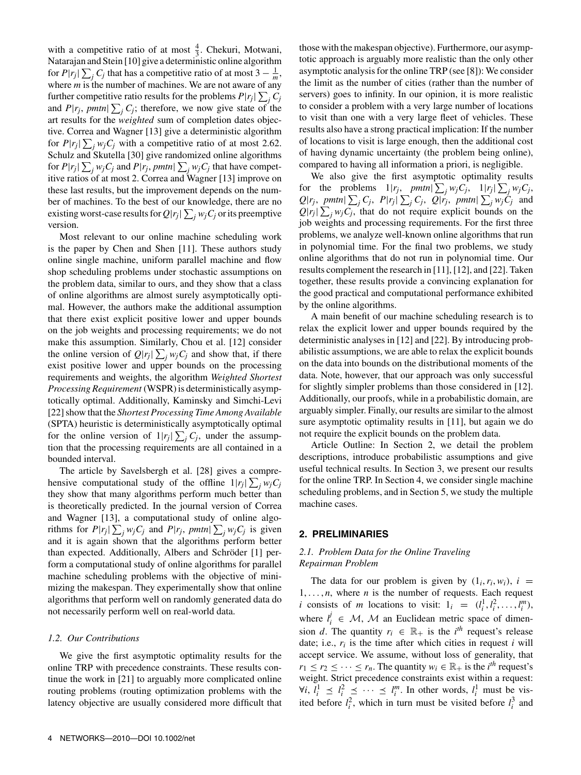with a competitive ratio of at most  $\frac{4}{3}$ . Chekuri, Motwani, Natarajan and Stein [10] give a deterministic online algorithm for  $P|r_j| \sum_j C_j$  that has a competitive ratio of at most  $3 - \frac{1}{m}$ , where *m* is the number of machines. We are not aware of any further competitive ratio results for the problems  $P|r_j| \sum_j C_j$ and  $P|r_j$ ,  $pmtn \geq j$ ,  $C_j$ ; therefore, we now give state of the art results for the *weighted* sum of completion dates objective. Correa and Wagner [13] give a deterministic algorithm for  $P|r_j| \sum_j w_j C_j$  with a competitive ratio of at most 2.62. Schulz and Skutella [30] give randomized online algorithms for  $P|r_j| \sum_j w_j C_j$  and  $P|r_j, pmtn| \sum_j w_j C_j$  that have competitive ratios of at most 2. Correa and Wagner [13] improve on these last results, but the improvement depends on the number of machines. To the best of our knowledge, there are no existing worst-case results for  $Q|r_j|\sum_j w_j C_j$  or its preemptive version.

Most relevant to our online machine scheduling work is the paper by Chen and Shen [11]. These authors study online single machine, uniform parallel machine and flow shop scheduling problems under stochastic assumptions on the problem data, similar to ours, and they show that a class of online algorithms are almost surely asymptotically optimal. However, the authors make the additional assumption that there exist explicit positive lower and upper bounds on the job weights and processing requirements; we do not make this assumption. Similarly, Chou et al. [12] consider the online version of  $Q|r_j|\sum_j w_jC_j$  and show that, if there exist positive lower and upper bounds on the processing requirements and weights, the algorithm *Weighted Shortest Processing Requirement* (WSPR) is deterministically asymptotically optimal. Additionally, Kaminsky and Simchi-Levi [22] show that the *Shortest Processing Time Among Available* (SPTA) heuristic is deterministically asymptotically optimal for the online version of  $1|r_j|\sum_j C_j$ , under the assumption that the processing requirements are all contained in a bounded interval.

The article by Savelsbergh et al. [28] gives a comprehensive computational study of the offline  $1|r_j|\sum_j w_jC_j$ they show that many algorithms perform much better than is theoretically predicted. In the journal version of Correa and Wagner [13], a computational study of online algorithms for  $P|r_j| \sum_j w_j C_j$  and  $P|r_j$ ,  $pmtn| \sum_j w_j C_j$  is given and it is again shown that the algorithms perform better than expected. Additionally, Albers and Schröder [1] perform a computational study of online algorithms for parallel machine scheduling problems with the objective of minimizing the makespan. They experimentally show that online algorithms that perform well on randomly generated data do not necessarily perform well on real-world data.

#### *1.2. Our Contributions*

We give the first asymptotic optimality results for the online TRP with precedence constraints. These results continue the work in [21] to arguably more complicated online routing problems (routing optimization problems with the latency objective are usually considered more difficult that those with the makespan objective). Furthermore, our asymptotic approach is arguably more realistic than the only other asymptotic analysis for the online TRP (see [8]): We consider the limit as the number of cities (rather than the number of servers) goes to infinity. In our opinion, it is more realistic to consider a problem with a very large number of locations to visit than one with a very large fleet of vehicles. These results also have a strong practical implication: If the number of locations to visit is large enough, then the additional cost of having dynamic uncertainty (the problem being online), compared to having all information a priori, is negligible.

We also give the first asymptotic optimality results for the problems  $1|r_j$ ,  $pmtn| \sum_j w_j C_j$ ,  $1|r_j| \sum_j w_j C_j$ ,  $Q|r_j$ ,  $p$ *mtn*  $\sum_j C_j$ ,  $P|r_j| \sum_j C_j$ ,  $Q|r_j$ ,  $p$ *mtn*  $\sum_j w_j C_j$  and  $Q|r_j|\sum_j w_jC_j$ , that do not require explicit bounds on the job weights and processing requirements. For the first three problems, we analyze well-known online algorithms that run in polynomial time. For the final two problems, we study online algorithms that do not run in polynomial time. Our results complement the research in [11], [12], and [22]. Taken together, these results provide a convincing explanation for the good practical and computational performance exhibited by the online algorithms.

A main benefit of our machine scheduling research is to relax the explicit lower and upper bounds required by the deterministic analyses in [12] and [22]. By introducing probabilistic assumptions, we are able to relax the explicit bounds on the data into bounds on the distributional moments of the data. Note, however, that our approach was only successful for slightly simpler problems than those considered in [12]. Additionally, our proofs, while in a probabilistic domain, are arguably simpler. Finally, our results are similar to the almost sure asymptotic optimality results in [11], but again we do not require the explicit bounds on the problem data.

Article Outline: In Section 2, we detail the problem descriptions, introduce probabilistic assumptions and give useful technical results. In Section 3, we present our results for the online TRP. In Section 4, we consider single machine scheduling problems, and in Section 5, we study the multiple machine cases.

### **2. PRELIMINARIES**

# *2.1. Problem Data for the Online Traveling Repairman Problem*

The data for our problem is given by  $(1_i, r_i, w_i)$ ,  $i =$  $1, \ldots, n$ , where *n* is the number of requests. Each request *i* consists of *m* locations to visit:  $1_i = (l_i^1, l_i^2, \ldots, l_i^m)$ , where  $l_i^j \in \mathcal{M}, \mathcal{M}$  an Euclidean metric space of dimension *d*. The quantity  $r_i \in \mathbb{R}_+$  is the *i*<sup>th</sup> request's release date; i.e.,  $r_i$  is the time after which cities in request  $i$  will accept service. We assume, without loss of generality, that  $r_1 \leq r_2 \leq \cdots \leq r_n$ . The quantity  $w_i \in \mathbb{R}_+$  is the *i*<sup>th</sup> request's weight. Strict precedence constraints exist within a request:  $\forall i, l_i^1 \leq l_i^2 \leq \cdots \leq l_i^m$ . In other words,  $l_i^1$  must be visited before  $l_i^2$ , which in turn must be visited before  $l_i^3$  and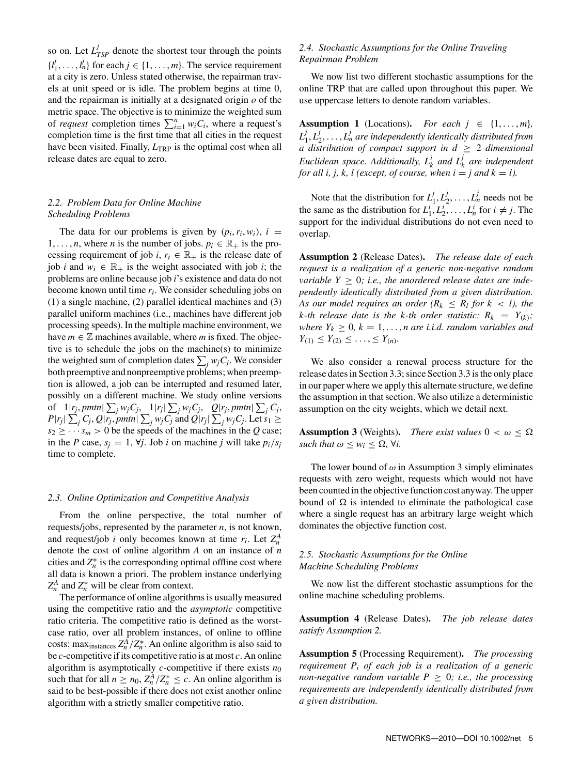so on. Let  $L^{j}_{TSP}$  denote the shortest tour through the points  $\{l_1^j, \ldots, l_n^j\}$  for each  $j \in \{1, \ldots, m\}$ . The service requirement at a city is zero. Unless stated otherwise, the repairman travels at unit speed or is idle. The problem begins at time 0, and the repairman is initially at a designated origin *o* of the metric space. The objective is to minimize the weighted sum of *request* completion times  $\sum_{i=1}^{n} w_i C_i$ , where a request's completion time is the first time that all cities in the request have been visited. Finally,  $L_{TRP}$  is the optimal cost when all release dates are equal to zero.

# *2.2. Problem Data for Online Machine Scheduling Problems*

The data for our problems is given by  $(p_i, r_i, w_i)$ ,  $i =$ 1, ..., *n*, where *n* is the number of jobs.  $p_i \in \mathbb{R}_+$  is the processing requirement of job *i*,  $r_i \in \mathbb{R}_+$  is the release date of job *i* and  $w_i \in \mathbb{R}_+$  is the weight associated with job *i*; the problems are online because job *i*'s existence and data do not become known until time *ri*. We consider scheduling jobs on (1) a single machine, (2) parallel identical machines and (3) parallel uniform machines (i.e., machines have different job processing speeds). In the multiple machine environment, we have  $m \in \mathbb{Z}$  machines available, where *m* is fixed. The objective is to schedule the jobs on the machine(s) to minimize the weighted sum of completion dates  $\sum_j w_j C_j$ . We consider both preemptive and nonpreemptive problems; when preemption is allowed, a job can be interrupted and resumed later, possibly on a different machine. We study online versions of  $1|_{r_j}$ ,  $pmtn \mid \sum_j w_j C_j$ ,  $1|r_j| \sum_j w_j C_j$ ,  $Q|r_j$ ,  $pmtn \mid \sum_j C_j$ ,  $P|r_j| \sum_j C_j, Q|r_j, pmtn| \sum_j w_j C_j$  and  $Q|r_j| \sum_j w_j C_j$ . Let  $s_1 \geq$  $s_2 \geq \cdots s_m > 0$  be the speeds of the machines in the *Q* case; in the *P* case,  $s_i = 1$ ,  $\forall j$ . Job *i* on machine *j* will take  $p_i/s_j$ time to complete.

#### *2.3. Online Optimization and Competitive Analysis*

From the online perspective, the total number of requests/jobs, represented by the parameter *n*, is not known, and request/job *i* only becomes known at time  $r_i$ . Let  $Z_n^A$ denote the cost of online algorithm *A* on an instance of *n* cities and  $Z_n^*$  is the corresponding optimal offline cost where all data is known a priori. The problem instance underlying  $Z_n^A$  and  $Z_n^*$  will be clear from context.

The performance of online algorithms is usually measured using the competitive ratio and the *asymptotic* competitive ratio criteria. The competitive ratio is defined as the worstcase ratio, over all problem instances, of online to offline costs: max<sub>instances</sub>  $Z_n^A/Z_n^*$ . An online algorithm is also said to be *c*-competitive if its competitive ratio is at most *c*. An online algorithm is asymptotically *c*-competitive if there exists  $n_0$ such that for all  $n \ge n_0$ ,  $Z_n^A/Z_n^* \le c$ . An online algorithm is said to be best-possible if there does not exist another online algorithm with a strictly smaller competitive ratio.

# *2.4. Stochastic Assumptions for the Online Traveling Repairman Problem*

We now list two different stochastic assumptions for the online TRP that are called upon throughout this paper. We use uppercase letters to denote random variables.

**Assumption 1** (Locations). *For each j*  $\in$  {1, ... *, m*}*,*  $L_1^j, L_2^j, \ldots, L_n^j$  are independently identically distributed from *a distribution of compact support in*  $d \geq 2$  *dimensional Euclidean space. Additionally,*  $L_k^i$  *and*  $L_k^j$  *are independent for all i, j, k, l (except, of course, when*  $i = j$  *and*  $k = l$ *).* 

Note that the distribution for  $L_1^j, L_2^j, \ldots, L_n^j$  needs not be the same as the distribution for  $L_1^i, L_2^i, \ldots, L_n^i$  for  $i \neq j$ . The support for the individual distributions do not even need to overlap.

**Assumption 2** (Release Dates)**.** *The release date of each request is a realization of a generic non-negative random variable Y*  $\geq$  0*; i.e., the unordered release dates are independently identically distributed from a given distribution. As our model requires an order*  $(R_k \leq R_l \text{ for } k < l)$ , the *k*-th release date is the k-th order statistic:  $R_k = Y_{(k)}$ ; *where*  $Y_k \geq 0$ ,  $k = 1, \ldots, n$  *are i.i.d. random variables and*  $Y_{(1)} \leq Y_{(2)} \leq \ldots \leq Y_{(n)}$ .

We also consider a renewal process structure for the release dates in Section 3.3; since Section 3.3 is the only place in our paper where we apply this alternate structure, we define the assumption in that section. We also utilize a deterministic assumption on the city weights, which we detail next.

**Assumption 3** (Weights). *There exist values*  $0 < \omega \leq \Omega$ *such that*  $\omega \leq w_i \leq \Omega$ ,  $\forall i$ .

The lower bound of  $\omega$  in Assumption 3 simply eliminates requests with zero weight, requests which would not have been counted in the objective function cost anyway. The upper bound of  $\Omega$  is intended to eliminate the pathological case where a single request has an arbitrary large weight which dominates the objective function cost.

# *2.5. Stochastic Assumptions for the Online Machine Scheduling Problems*

We now list the different stochastic assumptions for the online machine scheduling problems.

**Assumption 4** (Release Dates)**.** *The job release dates satisfy Assumption 2.*

**Assumption 5** (Processing Requirement)**.** *The processing requirement Pi of each job is a realization of a generic non-negative random variable*  $P \geq 0$ *; i.e., the processing requirements are independently identically distributed from a given distribution.*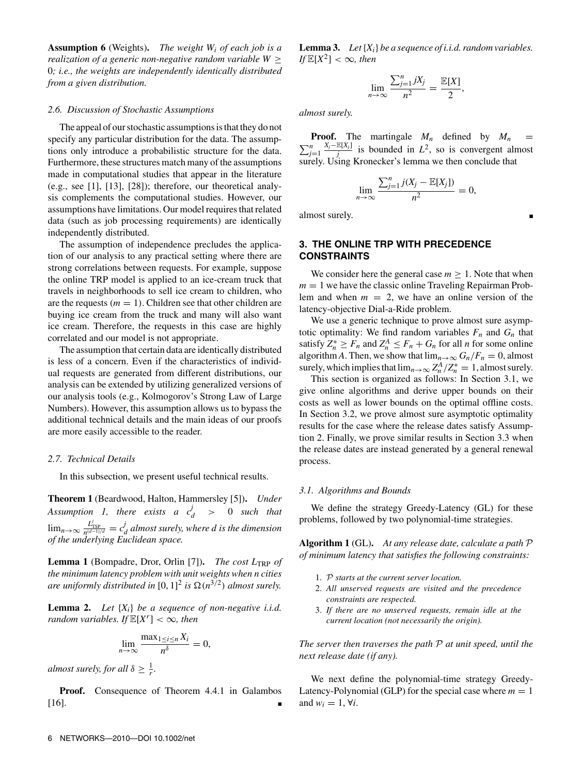**Assumption 6** (Weights)**.** *The weight Wi of each job is a realization of a generic non-negative random variable W*  $\geq$ 0*; i.e., the weights are independently identically distributed from a given distribution.*

#### *2.6. Discussion of Stochastic Assumptions*

The appeal of our stochastic assumptions is that they do not specify any particular distribution for the data. The assumptions only introduce a probabilistic structure for the data. Furthermore, these structures match many of the assumptions made in computational studies that appear in the literature (e.g., see [1], [13], [28]); therefore, our theoretical analysis complements the computational studies. However, our assumptions have limitations. Our model requires that related data (such as job processing requirements) are identically independently distributed.

The assumption of independence precludes the application of our analysis to any practical setting where there are strong correlations between requests. For example, suppose the online TRP model is applied to an ice-cream truck that travels in neighborhoods to sell ice cream to children, who are the requests  $(m = 1)$ . Children see that other children are buying ice cream from the truck and many will also want ice cream. Therefore, the requests in this case are highly correlated and our model is not appropriate.

The assumption that certain data are identically distributed is less of a concern. Even if the characteristics of individual requests are generated from different distributions, our analysis can be extended by utilizing generalized versions of our analysis tools (e.g., Kolmogorov's Strong Law of Large Numbers). However, this assumption allows us to bypass the additional technical details and the main ideas of our proofs are more easily accessible to the reader.

#### *2.7. Technical Details*

In this subsection, we present useful technical results.

**Theorem 1** (Beardwood, Halton, Hammersley [5])**.** *Under* Assumption 1, there exists a  $c_d^j$  > 0 such that  $\lim_{n\to\infty} \frac{L_{\text{ISP}}^j}{n^{(d-1)/d}} = c_d^j$  *almost surely, where d is the dimension of the underlying Euclidean space.*

**Lemma 1** (Bompadre, Dror, Orlin [7])**.** *The cost L*TRP *of the minimum latency problem with unit weights when n cities* are uniformly distributed in  $[0, 1]^2$  is  $\Omega(n^{3/2})$  almost surely.

**Lemma 2.** *Let*  $\{X_i\}$  *be a sequence of non-negative i.i.d. random variables. If*  $\mathbb{E}[X^r] < \infty$ *, then* 

$$
\lim_{n\to\infty}\frac{\max_{1\leq i\leq n}X_i}{n^{\delta}}=0,
$$

*almost surely, for all*  $\delta \geq \frac{1}{r}$ *.* 

**Proof.** Consequence of Theorem 4.4.1 in Galambos  $[16]$ . **Lemma 3.** *Let*  $\{X_i\}$  *be a sequence of i.i.d. random variables. If*  $\mathbb{E}[X^2] < \infty$ *, then* 

$$
\lim_{n\to\infty}\frac{\sum_{j=1}^n jX_j}{n^2}=\frac{\mathbb{E}[X]}{2},
$$

*almost surely.*

**Proof.** The martingale  $M_n$  defined by  $M_n$  $\sum_{j=1}^n$ *X<sub>j</sub>*−E[*X<sub>j</sub>*] is bounded in  $L^2$ , so is convergent almost surely. Using Kronecker's lemma we then conclude that

$$
\lim_{n\to\infty}\frac{\sum_{j=1}^n j(X_j - \mathbb{E}[X_j])}{n^2} = 0,
$$

almost surely. ■

*n*→∞

# **3. THE ONLINE TRP WITH PRECEDENCE CONSTRAINTS**

We consider here the general case  $m \geq 1$ . Note that when  $m = 1$  we have the classic online Traveling Repairman Problem and when  $m = 2$ , we have an online version of the latency-objective Dial-a-Ride problem.

We use a generic technique to prove almost sure asymptotic optimality: We find random variables  $F_n$  and  $G_n$  that satisfy  $Z_n^* \ge F_n$  and  $Z_n^A \le F_n + G_n$  for all *n* for some online algorithm *A*. Then, we show that  $\lim_{n\to\infty} G_n/F_n = 0$ , almost surely, which implies that  $\lim_{n\to\infty} Z_n^A/Z_n^* = 1$ , almost surely.

This section is organized as follows: In Section 3.1, we give online algorithms and derive upper bounds on their costs as well as lower bounds on the optimal offline costs. In Section 3.2, we prove almost sure asymptotic optimality results for the case where the release dates satisfy Assumption 2. Finally, we prove similar results in Section 3.3 when the release dates are instead generated by a general renewal process.

# *3.1. Algorithms and Bounds*

We define the strategy Greedy-Latency (GL) for these problems, followed by two polynomial-time strategies.

**Algorithm 1** (GL)**.** *At any release date, calculate a path* P *of minimum latency that satisfies the following constraints:*

- 1. P *starts at the current server location.*
- 2. *All unserved requests are visited and the precedence constraints are respected.*
- 3. *If there are no unserved requests, remain idle at the current location (not necessarily the origin).*

*The server then traverses the path* P *at unit speed, until the next release date (if any).*

We next define the polynomial-time strategy Greedy-Latency-Polynomial (GLP) for the special case where  $m = 1$ and  $w_i = 1, \forall i$ .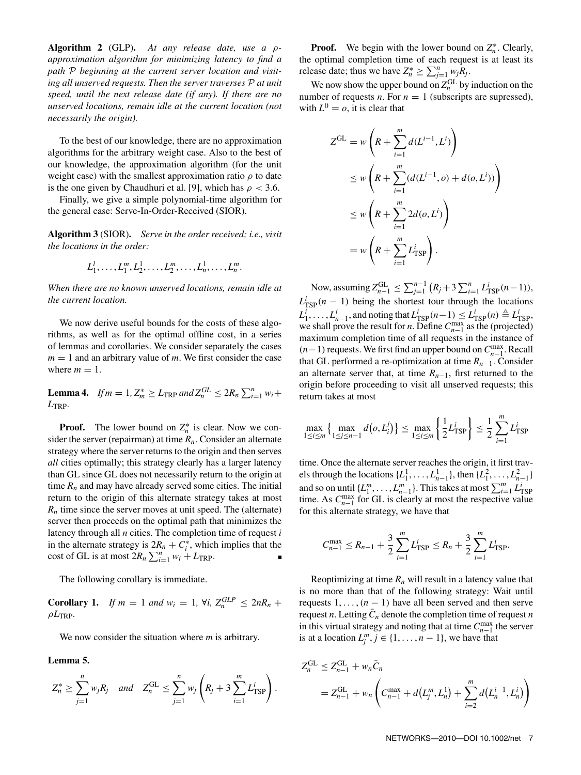**Algorithm 2** (GLP)**.** *At any release date, use a* ρ*approximation algorithm for minimizing latency to find a path* P *beginning at the current server location and visiting all unserved requests. Then the server traverses* P *at unit speed, until the next release date (if any). If there are no unserved locations, remain idle at the current location (not necessarily the origin).*

To the best of our knowledge, there are no approximation algorithms for the arbitrary weight case. Also to the best of our knowledge, the approximation algorithm (for the unit weight case) with the smallest approximation ratio  $\rho$  to date is the one given by Chaudhuri et al. [9], which has  $\rho < 3.6$ .

Finally, we give a simple polynomial-time algorithm for the general case: Serve-In-Order-Received (SIOR).

**Algorithm 3** (SIOR)**.** *Serve in the order received; i.e., visit the locations in the order:*

$$
L_1^l, \ldots, L_1^m, L_2^1, \ldots, L_2^m, \ldots, L_n^1, \ldots, L_n^m.
$$

*When there are no known unserved locations, remain idle at the current location.*

We now derive useful bounds for the costs of these algorithms, as well as for the optimal offline cost, in a series of lemmas and corollaries. We consider separately the cases  $m = 1$  and an arbitrary value of *m*. We first consider the case where  $m = 1$ .

**Lemma 4.** *If*  $m = 1, Z_m^* \ge L_{TRP}$  and  $Z_n^{GL} \le 2R_n \sum_{i=1}^n w_i +$ *L*TRP*.*

**Proof.** The lower bound on  $Z_n^*$  is clear. Now we consider the server (repairman) at time  $R_n$ . Consider an alternate strategy where the server returns to the origin and then serves *all* cities optimally; this strategy clearly has a larger latency than GL since GL does not necessarily return to the origin at time  $R_n$  and may have already served some cities. The initial return to the origin of this alternate strategy takes at most  $R_n$  time since the server moves at unit speed. The (alternate) server then proceeds on the optimal path that minimizes the latency through all *n* cities. The completion time of request *i* in the alternate strategy is  $2R_n + C_i^*$ , which implies that the cost of GL is at most  $2R_n \sum_{i=1}^n w_i + L_{TRP}$ .

The following corollary is immediate.

**Corollary 1.** *If*  $m = 1$  *and*  $w_i = 1$ ,  $\forall i$ ,  $Z_n^{GLP} \leq 2nR_n + C_n$  $\rho L$ <sub>TRP</sub>.

We now consider the situation where *m* is arbitrary.

**Lemma 5.**

$$
Z_n^* \geq \sum_{j=1}^n w_j R_j \quad \text{and} \quad Z_n^{\text{GL}} \leq \sum_{j=1}^n w_j \left( R_j + 3 \sum_{i=1}^m L_{\text{TSP}}^i \right).
$$

**Proof.** We begin with the lower bound on  $Z_n^*$ . Clearly, the optimal completion time of each request is at least its release date; thus we have  $Z_n^* \ge \sum_{j=1}^n w_j R_j$ .

We now show the upper bound on  $Z_n^{\text{GL}}$  by induction on the number of requests *n*. For  $n = 1$  (subscripts are supressed), with  $L^0 = 0$ , it is clear that

$$
Z^{GL} = w\left(R + \sum_{i=1}^{m} d(L^{i-1}, L^{i})\right)
$$
  
\n
$$
\leq w\left(R + \sum_{i=1}^{m} (d(L^{i-1}, o) + d(o, L^{i}))\right)
$$
  
\n
$$
\leq w\left(R + \sum_{i=1}^{m} 2d(o, L^{i})\right)
$$
  
\n
$$
= w\left(R + \sum_{i=1}^{m} L^{i}_{\text{ISP}}\right).
$$

Now, assuming  $Z_{n-1}^{\text{GL}} \le \sum_{j=1}^{n-1} (R_j + 3 \sum_{i=1}^{n} L_{\text{TSP}}^i (n-1)),$  $L^{i}_{\text{TSP}}(n-1)$  being the shortest tour through the locations  $L_1^i$ , ...,  $L_{n-1}^i$ , and noting that  $L_{\text{TSP}}^i$   $(n-1) \le L_{\text{TSP}}^i$   $(n) \triangleq L_{\text{TSP}}^i$ we shall prove the result for *n*. Define  $C_{n-1}^{\text{max}}$  as the (projected) maximum completion time of all requests in the instance of (*n*−1) requests. We first find an upper bound on  $C_{n-1}^{\text{max}}$ . Recall that GL performed a re-optimization at time  $R_{n-1}$ . Consider an alternate server that, at time  $R_{n-1}$ , first returned to the origin before proceeding to visit all unserved requests; this return takes at most

$$
\max_{1 \le i \le m} \left\{ \max_{1 \le j \le n-1} d(o, L_i^j) \right\} \le \max_{1 \le i \le m} \left\{ \frac{1}{2} L_{\text{TSP}}^i \right\} \le \frac{1}{2} \sum_{i=1}^m L_{\text{TSP}}^i
$$

time. Once the alternate server reaches the origin, it first travels through the locations  $\{L_1^1, \ldots, L_{n-1}^1\}$ , then  $\{L_1^2, \ldots, L_{n-1}^2\}$ and so on until  $\{L_1^m, \ldots, L_{n-1}^m\}$ . This takes at most  $\sum_{i=1}^m L_{\text{ISP}}^i$ time. As  $C_{n-1}^{\text{max}}$  for GL is clearly at most the respective value for this alternate strategy, we have that

$$
C_{n-1}^{\max} \leq R_{n-1} + \frac{3}{2} \sum_{i=1}^{m} L_{\text{TSP}}^{i} \leq R_{n} + \frac{3}{2} \sum_{i=1}^{m} L_{\text{TSP}}^{i}.
$$

Reoptimizing at time *Rn* will result in a latency value that is no more than that of the following strategy: Wait until requests  $1, \ldots, (n-1)$  have all been served and then serve request *n*. Letting  $\bar{C}_n$  denote the completion time of request *n* in this virtual strategy and noting that at time  $C_{n-1}^{\max}$  the server is at a location  $L_j^m$ ,  $j \in \{1, \ldots, n-1\}$ , we have that

$$
Z_n^{\text{GL}} \leq Z_{n-1}^{\text{GL}} + w_n \bar{C}_n
$$
  
=  $Z_{n-1}^{\text{GL}} + w_n \left( C_{n-1}^{\max} + d(L_j^m, L_n^1) + \sum_{i=2}^m d(L_n^{i-1}, L_n^i) \right)$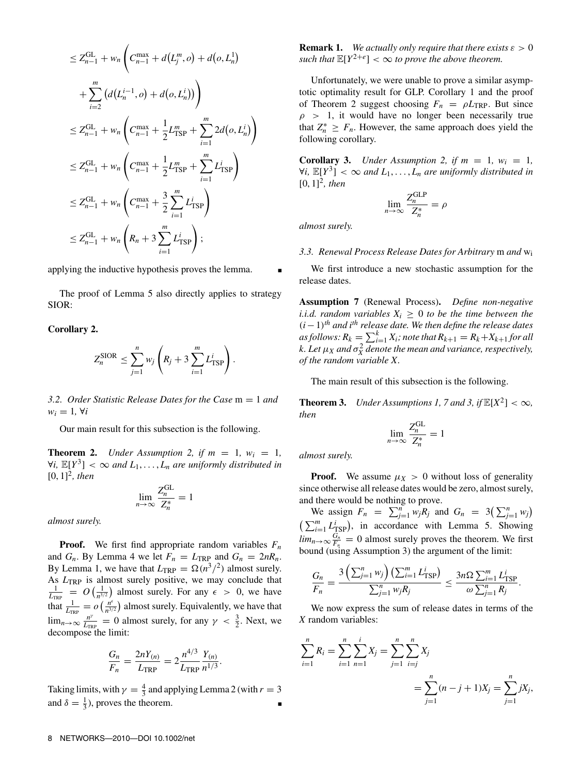$$
\leq Z_{n-1}^{\text{GL}} + w_n \left( C_{n-1}^{\max} + d(L_j^m, o) + d(o, L_n^1) \right)
$$
  
+ 
$$
\sum_{i=2}^m \left( d(L_n^{i-1}, o) + d(o, L_n^i) \right)
$$
  

$$
\leq Z_{n-1}^{\text{GL}} + w_n \left( C_{n-1}^{\max} + \frac{1}{2} L_{\text{TSP}}^m + \sum_{i=1}^m 2d(o, L_n^i) \right)
$$
  

$$
\leq Z_{n-1}^{\text{GL}} + w_n \left( C_{n-1}^{\max} + \frac{1}{2} L_{\text{TSP}}^m + \sum_{i=1}^m L_{\text{TSP}}^i \right)
$$
  

$$
\leq Z_{n-1}^{\text{GL}} + w_n \left( C_{n-1}^{\max} + \frac{3}{2} \sum_{i=1}^m L_{\text{TSP}}^i \right)
$$
  

$$
\leq Z_{n-1}^{\text{GL}} + w_n \left( R_n + 3 \sum_{i=1}^m L_{\text{TSP}}^i \right);
$$

applying the inductive hypothesis proves the lemma.

The proof of Lemma 5 also directly applies to strategy SIOR:

**Corollary 2.**

$$
Z_n^{\text{SIOR}} \leq \sum_{j=1}^n w_j \left( R_j + 3 \sum_{i=1}^m L_{\text{TSP}}^i \right).
$$

*3.2. Order Statistic Release Dates for the Case* m = 1 *and*  $w_i = 1, \forall i$ 

Our main result for this subsection is the following.

**Theorem 2.** *Under Assumption 2, if*  $m = 1$ ,  $w_i = 1$ ,  $\forall i, \mathbb{E}[Y^3] < \infty$  and  $L_1, \ldots, L_n$  are uniformly distributed in [0, 1] <sup>2</sup>*, then*

$$
\lim_{n\to\infty}\frac{Z_n^{\text{GL}}}{Z_n^*}=1
$$

*almost surely.*

**Proof.** We first find appropriate random variables  $F_n$ and  $G_n$ . By Lemma 4 we let  $F_n = L_{TRP}$  and  $G_n = 2nR_n$ . By Lemma 1, we have that  $L_{TRP} = \Omega(n^3)^2$  almost surely. As *L*TRP is almost surely positive, we may conclude that  $\frac{1}{L_{\text{TRP}}}$  =  $O\left(\frac{1}{n^{3/2}}\right)$  almost surely. For any  $\epsilon > 0$ , we have that  $\frac{1}{L_{TRP}} = o\left(\frac{n^{\epsilon}}{n^{3/2}}\right)$  almost surely. Equivalently, we have that  $\lim_{n \to \infty} \frac{n^{\gamma}}{L_{\text{TRP}}} = 0$  almost surely, for any  $\gamma < \frac{3}{2}$ . Next, we decompose the limit:

$$
\frac{G_n}{F_n} = \frac{2nY_{(n)}}{L_{\text{TRP}}} = 2\frac{n^{4/3}}{L_{\text{TRP}}} \frac{Y_{(n)}}{n^{1/3}}.
$$

Taking limits, with  $\gamma = \frac{4}{3}$  and applying Lemma 2 (with  $r = 3$ and  $\delta = \frac{1}{3}$ , proves the theorem. **Remark 1.** *We actually only require that there exists*  $\varepsilon > 0$ *such that*  $\mathbb{E}[Y^{2+e}] < \infty$  *to prove the above theorem.* 

Unfortunately, we were unable to prove a similar asymptotic optimality result for GLP. Corollary 1 and the proof of Theorem 2 suggest choosing  $F_n = \rho L_{TRP}$ . But since  $\rho > 1$ , it would have no longer been necessarily true that  $Z_n^* \geq F_n$ . However, the same approach does yield the following corollary.

**Corollary 3.** *Under Assumption 2, if*  $m = 1$ ,  $w_i = 1$ ,  $∀i, \mathbb{E}[Y^3] < ∞$  *and*  $L_1, \ldots, L_n$  *are uniformly distributed in* [0, 1] <sup>2</sup>*, then*

$$
\lim_{n \to \infty} \frac{Z_n^{\text{GLP}}}{Z_n^*} = \rho
$$

*almost surely.*

*3.3. Renewal Process Release Dates for Arbitrary* m *and* wi

We first introduce a new stochastic assumption for the release dates.

**Assumption 7** (Renewal Process)**.** *Define non-negative i.i.d. random variables*  $X_i \geq 0$  *to be the time between the* (*i*−1)*th and ith release date. We then define the release dates as follows:*  $R_k = \sum_{i=1}^k X_i$ ; note that  $R_{k+1} = R_k + X_{k+1}$  for all *k. Let*  $\mu_X$  and  $\sigma_X^2$  denote the mean and variance, respectively, *of the random variable X.*

The main result of this subsection is the following.

**Theorem 3.** *Under Assumptions 1, 7 and 3, if*  $\mathbb{E}[X^2] < \infty$ *, then*

$$
\lim_{n\to\infty}\frac{Z_n^{\text{GL}}}{Z_n^*}=1
$$

*almost surely.*

**Proof.** We assume  $\mu_X > 0$  without loss of generality since otherwise all release dates would be zero, almost surely, and there would be nothing to prove.

We assign  $F_n = \sum_{j=1}^n w_j R_j$  and  $G_n = 3(\sum_{j=1}^n w_j)$  $(\sum_{i=1}^{m} L_{\text{ISP}}^i)$ , in accordance with Lemma 5. Showing  $\lim_{n\to\infty} \frac{G_n}{F_n} = 0$  almost surely proves the theorem. We first bound (using Assumption 3) the argument of the limit:

$$
\frac{G_n}{F_n} = \frac{3\left(\sum_{j=1}^n w_j\right)\left(\sum_{i=1}^m L_{\text{TSP}}^i\right)}{\sum_{j=1}^n w_j R_j} \le \frac{3n\Omega \sum_{i=1}^m L_{\text{TSP}}^i}{\omega \sum_{j=1}^n R_j}.
$$

We now express the sum of release dates in terms of the *X* random variables:

$$
\sum_{i=1}^{n} R_i = \sum_{i=1}^{n} \sum_{n=1}^{i} X_j = \sum_{j=1}^{n} \sum_{i=j}^{n} X_j
$$
  
= 
$$
\sum_{j=1}^{n} (n-j+1)X_j = \sum_{j=1}^{n} jX_j,
$$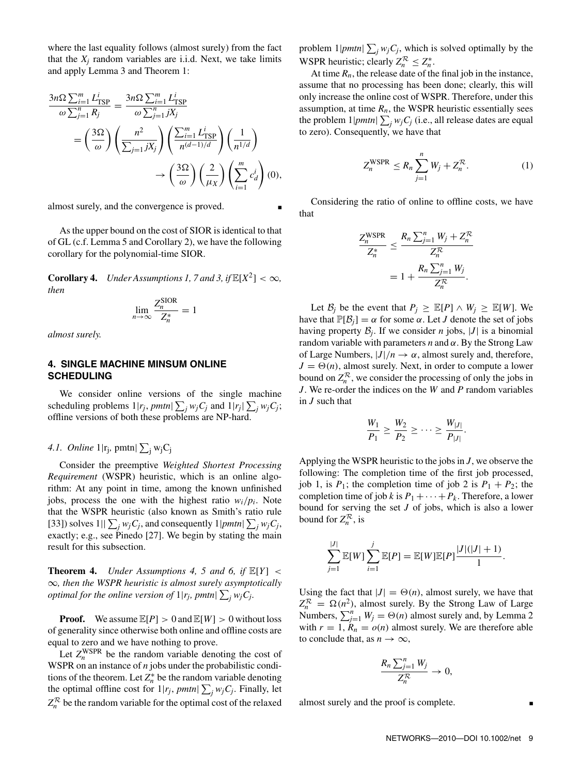where the last equality follows (almost surely) from the fact that the  $X_j$  random variables are i.i.d. Next, we take limits and apply Lemma 3 and Theorem 1:

$$
\frac{3n\Omega \sum_{i=1}^{m} L_{\text{ISP}}^{i}}{\omega \sum_{j=1}^{n} R_j} = \frac{3n\Omega \sum_{i=1}^{m} L_{\text{ISP}}^{i}}{\omega \sum_{j=1}^{n} jX_j}
$$

$$
= \left(\frac{3\Omega}{\omega}\right) \left(\frac{n^2}{\sum_{j=1}^{n} jX_j}\right) \left(\frac{\sum_{i=1}^{m} L_{\text{ISP}}^{i}}{n^{(d-1)/d}}\right) \left(\frac{1}{n^{1/d}}\right)
$$

$$
\rightarrow \left(\frac{3\Omega}{\omega}\right) \left(\frac{2}{\mu_X}\right) \left(\sum_{i=1}^{m} c_d^{i}\right) (0),
$$

almost surely, and the convergence is proved.

As the upper bound on the cost of SIOR is identical to that of GL (c.f. Lemma 5 and Corollary 2), we have the following corollary for the polynomial-time SIOR.

**Corollary 4.** *Under Assumptions 1, 7 and 3, if*  $\mathbb{E}[X^2] < \infty$ *, then*

$$
\lim_{n \to \infty} \frac{Z_n^{\text{SIOR}}}{Z_n^*} = 1
$$

*almost surely.*

# **4. SINGLE MACHINE MINSUM ONLINE SCHEDULING**

We consider online versions of the single machine scheduling problems  $1|r_j$ , *pmtn* $|\sum_j w_j C_j$  and  $1|r_j|\sum_j w_j C_j$ ; offline versions of both these problems are NP-hard.

# *4.1. Online*  $1|r_j$ ,  $pmtn | \sum_j w_j C_j$

Consider the preemptive *Weighted Shortest Processing Requirement* (WSPR) heuristic, which is an online algorithm: At any point in time, among the known unfinished jobs, process the one with the highest ratio  $w_i/p_i$ . Note that the WSPR heuristic (also known as Smith's ratio rule [33]) solves  $1||\sum_j w_j C_j$ , and consequently  $1|pmtn|\sum_j w_j C_j$ , exactly; e.g., see Pinedo [27]. We begin by stating the main result for this subsection.

**Theorem 4.** *Under Assumptions 4, 5 and 6, if*  $\mathbb{E}[Y] <$ ∞*, then the WSPR heuristic is almost surely asymptotically optimal for the online version of*  $1|r_j$ *, pmtn* $\sum_j w_j C_j$ .

**Proof.** We assume  $\mathbb{E}[P] > 0$  and  $\mathbb{E}[W] > 0$  without loss of generality since otherwise both online and offline costs are equal to zero and we have nothing to prove.

Let  $Z_n^{\text{WSPR}}$  be the random variable denoting the cost of WSPR on an instance of *n* jobs under the probabilistic conditions of the theorem. Let  $Z_n^*$  be the random variable denoting the optimal offline cost for  $1|r_j$ ,  $pmtn$   $\sum_j w_j C_j$ . Finally, let  $Z_n^{\mathcal{R}}$  be the random variable for the optimal cost of the relaxed problem  $1|pmtn| \sum_j w_j C_j$ , which is solved optimally by the WSPR heuristic; clearly  $Z_n^{\mathcal{R}} \leq Z_n^*$ .

At time  $R_n$ , the release date of the final job in the instance, assume that no processing has been done; clearly, this will only increase the online cost of WSPR. Therefore, under this assumption, at time  $R_n$ , the WSPR heuristic essentially sees the problem  $1|pmtn| \sum_j w_j C_j$  (i.e., all release dates are equal to zero). Consequently, we have that

$$
Z_n^{\text{WSPR}} \le R_n \sum_{j=1}^n W_j + Z_n^{\mathcal{R}}.\tag{1}
$$

Considering the ratio of online to offline costs, we have that

$$
\frac{Z_n^{\text{WSPR}}}{Z_n^*} \le \frac{R_n \sum_{j=1}^n W_j + Z_n^{\mathcal{R}}}{Z_n^{\mathcal{R}}} = 1 + \frac{R_n \sum_{j=1}^n W_j}{Z_n^{\mathcal{R}}}.
$$

Let  $\mathcal{B}_j$  be the event that  $P_j \geq \mathbb{E}[P] \wedge W_j \geq \mathbb{E}[W]$ . We have that  $\mathbb{P}[\mathcal{B}_i] = \alpha$  for some  $\alpha$ . Let *J* denote the set of jobs having property  $\mathcal{B}_i$ . If we consider *n* jobs,  $|J|$  is a binomial random variable with parameters *n* and α. By the Strong Law of Large Numbers,  $|J|/n \to \alpha$ , almost surely and, therefore,  $J = \Theta(n)$ , almost surely. Next, in order to compute a lower bound on  $Z_n^{\mathcal{R}}$ , we consider the processing of only the jobs in *J*. We re-order the indices on the *W* and *P* random variables in *J* such that

$$
\frac{W_1}{P_1} \ge \frac{W_2}{P_2} \ge \cdots \ge \frac{W_{|J|}}{P_{|J|}}.
$$

Applying the WSPR heuristic to the jobs in *J*, we observe the following: The completion time of the first job processed, job 1, is  $P_1$ ; the completion time of job 2 is  $P_1 + P_2$ ; the completion time of job *k* is  $P_1 + \cdots + P_k$ . Therefore, a lower bound for serving the set *J* of jobs, which is also a lower bound for  $Z_n^{\mathcal{R}}$ , is

$$
\sum_{j=1}^{|J|} \mathbb{E}[W] \sum_{i=1}^{j} \mathbb{E}[P] = \mathbb{E}[W] \mathbb{E}[P] \frac{|J|(|J|+1)}{1}.
$$

Using the fact that  $|J| = \Theta(n)$ , almost surely, we have that  $Z_n^{\mathcal{R}} = \Omega(n^2)$ , almost surely. By the Strong Law of Large Numbers,  $\sum_{j=1}^{n} W_j = \Theta(n)$  almost surely and, by Lemma 2 with  $r = 1$ ,  $R_n = o(n)$  almost surely. We are therefore able to conclude that, as  $n \to \infty$ ,

$$
\frac{R_n\sum_{j=1}^n W_j}{Z_n^{\mathcal{R}}}\to 0,
$$

almost surely and the proof is complete. ■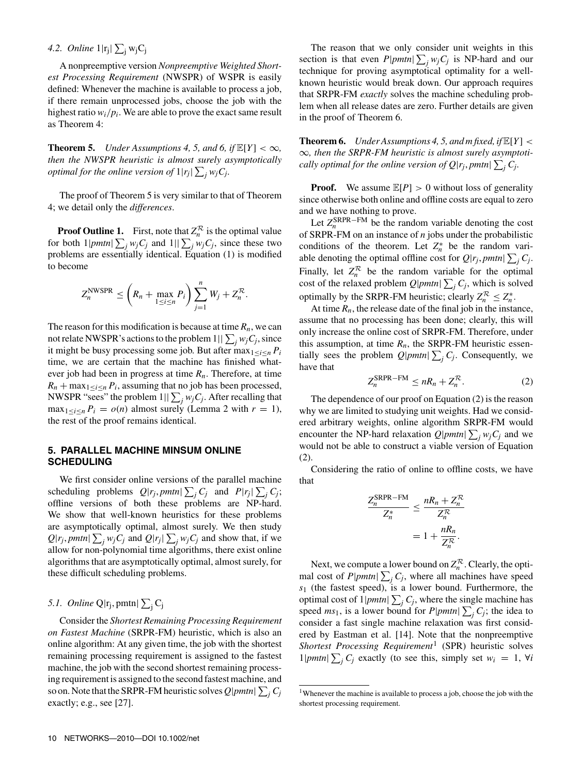4.2. Online  $1|r_j| \sum_j w_j C_j$ 

A nonpreemptive version *Nonpreemptive Weighted Shortest Processing Requirement* (NWSPR) of WSPR is easily defined: Whenever the machine is available to process a job, if there remain unprocessed jobs, choose the job with the highest ratio  $w_i/p_i$ . We are able to prove the exact same result as Theorem 4:

**Theorem 5.** *Under Assumptions 4, 5, and 6, if*  $\mathbb{E}[Y] < \infty$ *, then the NWSPR heuristic is almost surely asymptotically optimal for the online version of*  $1|r_j| \sum_j w_j C_j$ .

The proof of Theorem 5 is very similar to that of Theorem 4; we detail only the *differences*.

**Proof Outline 1.** First, note that  $Z_n^{\mathcal{R}}$  is the optimal value for both  $1|pmtn| \sum_j w_j C_j$  and  $1||\sum_j w_j C_j$ , since these two problems are essentially identical. Equation (1) is modified to become

$$
Z_n^{\text{NWSPR}} \leq \left(R_n + \max_{1 \leq i \leq n} P_i\right) \sum_{j=1}^n W_j + Z_n^{\mathcal{R}}.
$$

The reason for this modification is because at time  $R_n$ , we can not relate NWSPR's actions to the problem  $1||\sum_j w_j C_j$ , since it might be busy processing some job. But after  $\max_{1 \le i \le n} P_i$ time, we are certain that the machine has finished whatever job had been in progress at time *Rn*. Therefore, at time  $R_n$  + max<sub>1 ≤*i* ≤*n*</sub>  $P_i$ , assuming that no job has been processed, NWSPR "sees" the problem  $1||\sum_j w_j C_j.$  After recalling that max<sub>1</sub><*i*<*n*  $P_i = o(n)$  almost surely (Lemma 2 with  $r = 1$ ), the rest of the proof remains identical.

# **5. PARALLEL MACHINE MINSUM ONLINE SCHEDULING**

We first consider online versions of the parallel machine scheduling problems  $Q|r_j, pmtn| \sum_j C_j$  and  $P|r_j| \sum_j C_j$ ; offline versions of both these problems are NP-hard. We show that well-known heuristics for these problems are asymptotically optimal, almost surely. We then study  $Q|r_j$ , *pmtn*|  $\sum_j w_j C_j$  and  $Q|r_j| \sum_j w_j C_j$  and show that, if we allow for non-polynomial time algorithms, there exist online algorithms that are asymptotically optimal, almost surely, for these difficult scheduling problems.

# *5.1. Online*  $Q|r_j$ ,  $pmtn \mid \sum_j C_j$

Consider the *Shortest Remaining Processing Requirement on Fastest Machine* (SRPR-FM) heuristic, which is also an online algorithm: At any given time, the job with the shortest remaining processing requirement is assigned to the fastest machine, the job with the second shortest remaining processing requirement is assigned to the second fastest machine, and so on. Note that the SRPR-FM heuristic solves  $Q|pmtn|\sum_j C_j$ exactly; e.g., see [27].

The reason that we only consider unit weights in this section is that even  $P|pmtn| \sum_j w_j C_j$  is NP-hard and our technique for proving asymptotical optimality for a wellknown heuristic would break down. Our approach requires that SRPR-FM *exactly* solves the machine scheduling problem when all release dates are zero. Further details are given in the proof of Theorem 6.

**Theorem 6.** *Under Assumptions 4, 5, and m fixed, if* $\mathbb{E}[Y]$  < ∞*, then the SRPR-FM heuristic is almost surely asymptotically optimal for the online version of*  $Q|r_j$ *,*  $p$ *mtn* $|\sum_j C_j$ .

**Proof.** We assume  $\mathbb{E}[P] > 0$  without loss of generality since otherwise both online and offline costs are equal to zero and we have nothing to prove.

Let *Z*<sub>n</sub><sup>SRPR−FM</sup> be the random variable denoting the cost of SRPR-FM on an instance of *n* jobs under the probabilistic conditions of the theorem. Let  $Z_n^*$  be the random variable denoting the optimal offline cost for  $Q|r_j$ , *pmtn*  $\sum_j C_j$ . Finally, let  $Z_n^{\mathcal{R}}$  be the random variable for the optimal cost of the relaxed problem  $Q|pmtn| \sum_{j} C_j$ , which is solved optimally by the SRPR-FM heuristic; clearly  $Z_n^{\mathcal{R}} \leq Z_n^*$ .

At time  $R_n$ , the release date of the final job in the instance, assume that no processing has been done; clearly, this will only increase the online cost of SRPR-FM. Therefore, under this assumption, at time  $R_n$ , the SRPR-FM heuristic essentially sees the problem  $Q|pmtn| \sum_j C_j$ . Consequently, we have that

$$
Z_n^{\text{SRPR-FM}} \le nR_n + Z_n^{\mathcal{R}}.\tag{2}
$$

The dependence of our proof on Equation (2) is the reason why we are limited to studying unit weights. Had we considered arbitrary weights, online algorithm SRPR-FM would encounter the NP-hard relaxation  $Q|pmtn| \sum_j w_j C_j$  and we would not be able to construct a viable version of Equation (2).

Considering the ratio of online to offline costs, we have that

$$
\frac{Z_n^{\text{SRPR-FM}}}{Z_n^*} \le \frac{nR_n + Z_n^{\mathcal{R}}}{Z_n^{\mathcal{R}}} = 1 + \frac{nR_n}{Z_n^{\mathcal{R}}}.
$$

Next, we compute a lower bound on  $Z_n^{\mathcal{R}}$ . Clearly, the optimal cost of  $P|pmtn| \sum_{j} C_j$ , where all machines have speed *s*<sup>1</sup> (the fastest speed), is a lower bound. Furthermore, the optimal cost of  $1|pmtn| \sum_j C_j$ , where the single machine has speed *ms*<sub>1</sub>, is a lower bound for *P*|*pmtn*|  $\sum_{j} C_j$ ; the idea to consider a fast single machine relaxation was first considered by Eastman et al. [14]. Note that the nonpreemptive *Shortest Processing Requirement*<sup>1</sup> (SPR) heuristic solves  $1|pmn| \sum_j C_j$  exactly (to see this, simply set  $w_i = 1$ ,  $\forall i$ 

<sup>&</sup>lt;sup>1</sup>Whenever the machine is available to process a job, choose the job with the shortest processing requirement.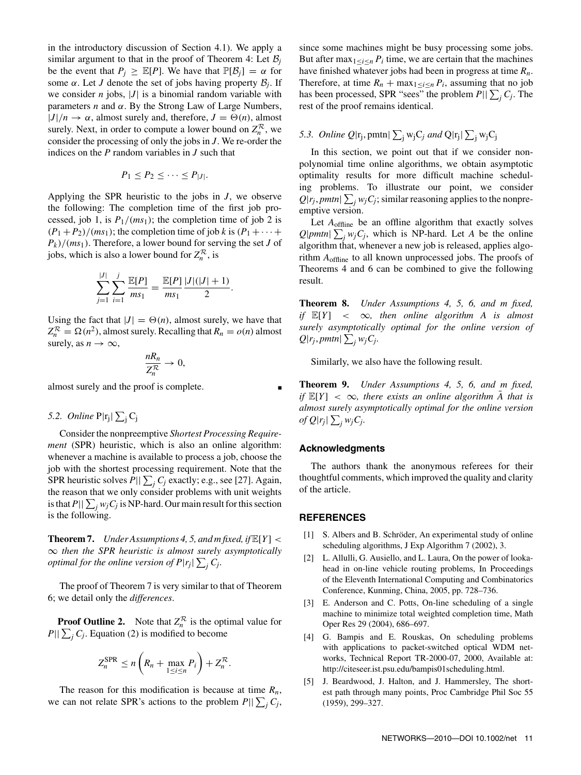in the introductory discussion of Section 4.1). We apply a similar argument to that in the proof of Theorem 4: Let  $B_j$ be the event that  $P_i \geq \mathbb{E}[P]$ . We have that  $\mathbb{P}[\mathcal{B}_i] = \alpha$  for some  $\alpha$ . Let *J* denote the set of jobs having property  $\mathcal{B}_i$ . If we consider  $n$  jobs,  $|J|$  is a binomial random variable with parameters *n* and  $α$ . By the Strong Law of Large Numbers,  $|J|/n \to \alpha$ , almost surely and, therefore,  $J = \Theta(n)$ , almost surely. Next, in order to compute a lower bound on  $Z_n^{\mathcal{R}}$ , we consider the processing of only the jobs in *J*. We re-order the indices on the *P* random variables in *J* such that

$$
P_1 \leq P_2 \leq \cdots \leq P_{|J|}.
$$

Applying the SPR heuristic to the jobs in *J*, we observe the following: The completion time of the first job processed, job 1, is  $P_1/(ms_1)$ ; the completion time of job 2 is  $(P_1 + P_2)/(ms_1)$ ; the completion time of job *k* is  $(P_1 + \cdots + P_n)$ *Pk* )/(*ms*1). Therefore, a lower bound for serving the set *J* of jobs, which is also a lower bound for  $Z_n^{\mathcal{R}}$ , is

$$
\sum_{j=1}^{|J|} \sum_{i=1}^{j} \frac{\mathbb{E}[P]}{ms_1} = \frac{\mathbb{E}[P]}{ms_1} \frac{|J|(|J|+1)}{2}.
$$

Using the fact that  $|J| = \Theta(n)$ , almost surely, we have that  $Z_n^{\mathcal{R}} = \Omega(n^2)$ , almost surely. Recalling that  $R_n = o(n)$  almost surely, as  $n \to \infty$ ,

$$
\frac{nR_n}{Z_n^{\mathcal{R}}} \to 0,
$$

almost surely and the proof is complete.

5.2. Online  $\Pr_j | \sum_j C_j$ 

Consider the nonpreemptive *Shortest Processing Requirement* (SPR) heuristic, which is also an online algorithm: whenever a machine is available to process a job, choose the job with the shortest processing requirement. Note that the SPR heuristic solves  $P||\sum_{j} C_j$  exactly; e.g., see [27]. Again, the reason that we only consider problems with unit weights is that  $P||\sum_j w_j C_j$  is NP-hard. Our main result for this section is the following.

**Theorem 7.** *Under Assumptions 4, 5, and m fixed, if* $E[Y]$  < ∞ *then the SPR heuristic is almost surely asymptotically optimal for the online version of P* $|r_j| \sum_j C_j$ *.* 

The proof of Theorem 7 is very similar to that of Theorem 6; we detail only the *differences*.

**Proof Outline 2.** Note that  $Z_n^{\mathcal{R}}$  is the optimal value for  $P||\sum_{j} C_j$ . Equation (2) is modified to become

$$
Z_n^{\text{SPR}} \le n \left( R_n + \max_{1 \le i \le n} P_i \right) + Z_n^{\mathcal{R}}.
$$

The reason for this modification is because at time *Rn*, we can not relate SPR's actions to the problem  $P||\sum_{j} C_j$ , since some machines might be busy processing some jobs. But after max $_{1 \le i \le n} P_i$  time, we are certain that the machines have finished whatever jobs had been in progress at time *Rn*. Therefore, at time  $R_n + \max_{1 \le i \le n} P_i$ , assuming that no job has been processed, SPR "sees" the problem  $P||\sum_{j} C_j$ . The rest of the proof remains identical.

# 5.*3. Online Q*|r<sub>j</sub>, pmtn|  $\sum_j w_j C_j$  *and* Q|r<sub>j</sub>|  $\sum_j w_j C_j$

In this section, we point out that if we consider nonpolynomial time online algorithms, we obtain asymptotic optimality results for more difficult machine scheduling problems. To illustrate our point, we consider  $Q|r_j, pmtn| \sum_j w_j C_j$ ; similar reasoning applies to the nonpreemptive version.

Let *A*offline be an offline algorithm that exactly solves  $Q$ |*pmtn*| $\sum_j w_j C_j$ , which is NP-hard. Let *A* be the online algorithm that, whenever a new job is released, applies algorithm *A*offline to all known unprocessed jobs. The proofs of Theorems 4 and 6 can be combined to give the following result.

**Theorem 8.** *Under Assumptions 4, 5, 6, and m fixed, if*  $\mathbb{E}[Y] < \infty$ *, then online algorithm A is almost surely asymptotically optimal for the online version of*  $Q|r_j, pmtn| \sum_j w_j C_j.$ 

Similarly, we also have the following result.

**Theorem 9.** *Under Assumptions 4, 5, 6, and m fixed, if*  $\mathbb{E}[Y] < \infty$ *, there exists an online algorithm*  $\overline{A}$  *that is almost surely asymptotically optimal for the online version of*  $Q|r_j| \sum_j w_j C_j$ .

## **Acknowledgments**

The authors thank the anonymous referees for their thoughtful comments, which improved the quality and clarity of the article.

# **REFERENCES**

- [1] S. Albers and B. Schröder, An experimental study of online scheduling algorithms, J Exp Algorithm 7 (2002), 3.
- [2] L. Allulli, G. Ausiello, and L. Laura, On the power of lookahead in on-line vehicle routing problems, In Proceedings of the Eleventh International Computing and Combinatorics Conference, Kunming, China, 2005, pp. 728–736.
- [3] E. Anderson and C. Potts, On-line scheduling of a single machine to minimize total weighted completion time, Math Oper Res 29 (2004), 686–697.
- [4] G. Bampis and E. Rouskas, On scheduling problems with applications to packet-switched optical WDM networks, Technical Report TR-2000-07, 2000, Available at: http://citeseer.ist.psu.edu/bampis01scheduling.html.
- [5] J. Beardwood, J. Halton, and J. Hammersley, The shortest path through many points, Proc Cambridge Phil Soc 55 (1959), 299–327.